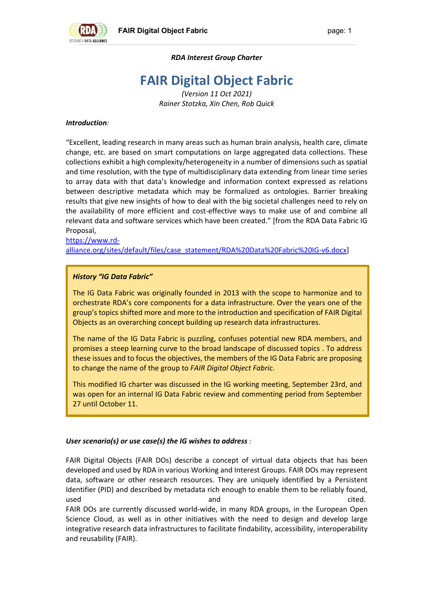

## *RDA Interest Group Charter*

# **FAIR Digital Object Fabric**

*(Version 11 Oct 2021) Rainer Stotzka, Xin Chen, Rob Quick*

### *Introduction:*

"Excellent, leading research in many areas such as human brain analysis, health care, climate change, etc. are based on smart computations on large aggregated data collections. These collections exhibit a high complexity/heterogeneity in a number of dimensions such as spatial and time resolution, with the type of multidisciplinary data extending from linear time series to array data with that data's knowledge and information context expressed as relations between descriptive metadata which may be formalized as ontologies. Barrier breaking results that give new insights of how to deal with the big societal challenges need to rely on the availability of more efficient and cost-effective ways to make use of and combine all relevant data and software services which have been created." [from the RDA Data Fabric IG Proposal,

#### https://www.rdalliance.org/sites/default/files/case\_statement/RDA%20Data%20Fabric%20IG-v6.docx]

## *History "IG Data Fabric"*

The IG Data Fabric was originally founded in 2013 with the scope to harmonize and to orchestrate RDA's core components for a data infrastructure. Over the years one of the group's topics shifted more and more to the introduction and specification of FAIR Digital Objects as an overarching concept building up research data infrastructures.

The name of the IG Data Fabric is puzzling, confuses potential new RDA members, and promises a steep learning curve to the broad landscape of discussed topics . To address these issues and to focus the objectives, the members of the IG Data Fabric are proposing to change the name of the group to *FAIR Digital Object Fabric*.

This modified IG charter was discussed in the IG working meeting, September 23rd, and was open for an internal IG Data Fabric review and commenting period from September 27 until October 11.

#### *User scenario(s) or use case(s) the IG wishes to address :*

FAIR Digital Objects (FAIR DOs) describe a concept of virtual data objects that has been developed and used by RDA in various Working and Interest Groups. FAIR DOs may represent data, software or other research resources. They are uniquely identified by a Persistent Identifier (PID) and described by metadata rich enough to enable them to be reliably found, used and cited. FAIR DOs are currently discussed world-wide, in many RDA groups, in the European Open Science Cloud, as well as in other initiatives with the need to design and develop large integrative research data infrastructures to facilitate findability, accessibility, interoperability and reusability (FAIR).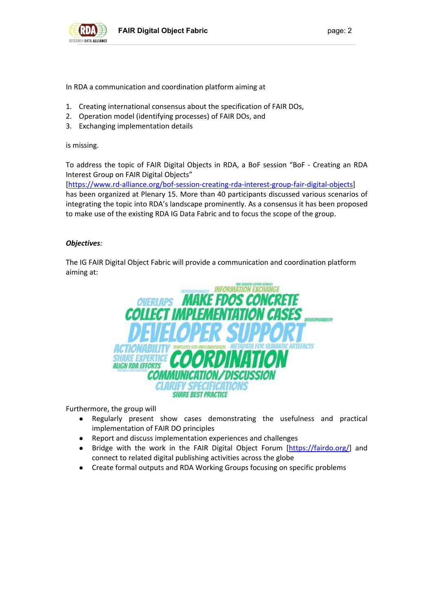

In RDA a communication and coordination platform aiming at

- 1. Creating international consensus about the specification of FAIR DOs,
- 2. Operation model (identifying processes) of FAIR DOs, and
- 3. Exchanging implementation details

is missing.

To address the topic of FAIR Digital Objects in RDA, a BoF session "BoF - Creating an RDA Interest Group on FAIR Digital Objects"

[https://www.rd-alliance.org/bof-session-creating-rda-interest-group-fair-digital-objects] has been organized at Plenary 15. More than 40 participants discussed various scenarios of integrating the topic into RDA's landscape prominently. As a consensus it has been proposed to make use of the existing RDA IG Data Fabric and to focus the scope of the group.

#### *Objectives:*

The IG FAIR Digital Object Fabric will provide a communication and coordination platform aiming at:



Furthermore, the group will

- Regularly present show cases demonstrating the usefulness and practical implementation of FAIR DO principles
- Report and discuss implementation experiences and challenges
- Bridge with the work in the FAIR Digital Object Forum [https://fairdo.org/] and connect to related digital publishing activities across the globe
- Create formal outputs and RDA Working Groups focusing on specific problems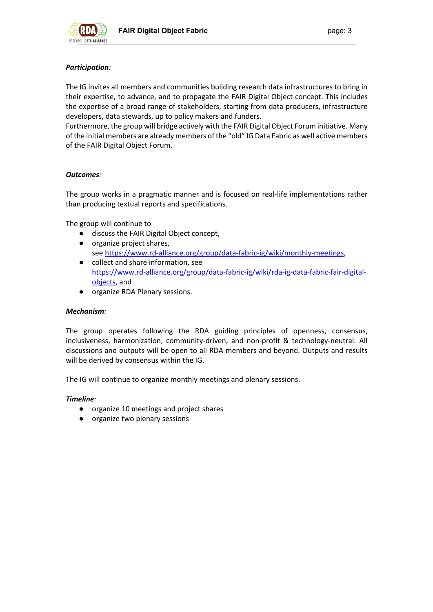

## *Participation:*

The IG invites all members and communities building research data infrastructures to bring in their expertise, to advance, and to propagate the FAIR Digital Object concept. This includes the expertise of a broad range of stakeholders, starting from data producers, infrastructure developers, data stewards, up to policy makers and funders.

Furthermore, the group will bridge actively with the FAIR Digital Object Forum initiative. Many of the initial members are already members of the "old" IG Data Fabric as well active members of the FAIR Digital Object Forum.

#### *Outcomes:*

The group works in a pragmatic manner and is focused on real-life implementations rather than producing textual reports and specifications.

The group will continue to

- discuss the FAIR Digital Object concept,
- organize project shares, see https://www.rd-alliance.org/group/data-fabric-ig/wiki/monthly-meetings,
- collect and share information, see https://www.rd-alliance.org/group/data-fabric-ig/wiki/rda-ig-data-fabric-fair-digitalobjects, and
- organize RDA Plenary sessions.

#### *Mechanism:*

The group operates following the RDA guiding principles of openness, consensus, inclusiveness, harmonization, community-driven, and non-profit & technology-neutral. All discussions and outputs will be open to all RDA members and beyond. Outputs and results will be derived by consensus within the IG.

The IG will continue to organize monthly meetings and plenary sessions.

#### *Timeline:*

- organize 10 meetings and project shares
- organize two plenary sessions